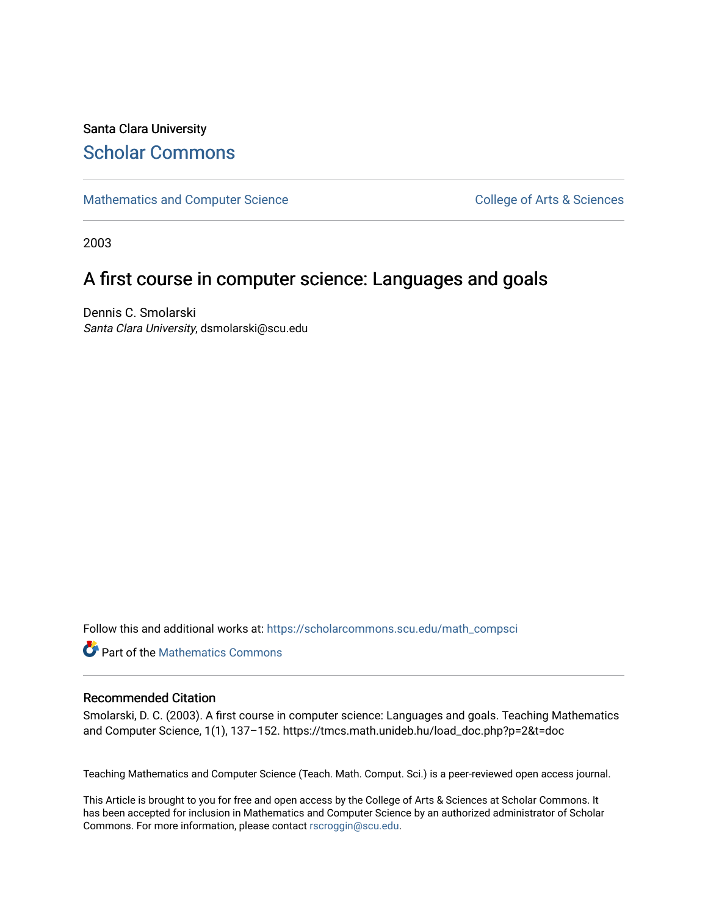## Santa Clara University [Scholar Commons](https://scholarcommons.scu.edu/)

[Mathematics and Computer Science](https://scholarcommons.scu.edu/math_compsci) College of Arts & Sciences

2003

## A first course in computer science: Languages and goals

Dennis C. Smolarski Santa Clara University, dsmolarski@scu.edu

Follow this and additional works at: [https://scholarcommons.scu.edu/math\\_compsci](https://scholarcommons.scu.edu/math_compsci?utm_source=scholarcommons.scu.edu%2Fmath_compsci%2F44&utm_medium=PDF&utm_campaign=PDFCoverPages)

**Part of the [Mathematics Commons](http://network.bepress.com/hgg/discipline/174?utm_source=scholarcommons.scu.edu%2Fmath_compsci%2F44&utm_medium=PDF&utm_campaign=PDFCoverPages)** 

#### Recommended Citation

Smolarski, D. C. (2003). A first course in computer science: Languages and goals. Teaching Mathematics and Computer Science, 1(1), 137–152. https://tmcs.math.unideb.hu/load\_doc.php?p=2&t=doc

Teaching Mathematics and Computer Science (Teach. Math. Comput. Sci.) is a peer-reviewed open access journal.

This Article is brought to you for free and open access by the College of Arts & Sciences at Scholar Commons. It has been accepted for inclusion in Mathematics and Computer Science by an authorized administrator of Scholar Commons. For more information, please contact [rscroggin@scu.edu](mailto:rscroggin@scu.edu).